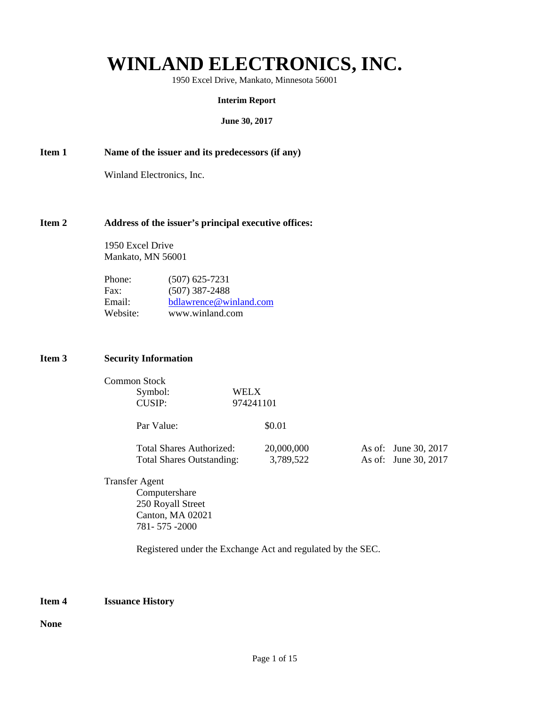# **WINLAND ELECTRONICS, INC.**

1950 Excel Drive, Mankato, Minnesota 56001

#### **Interim Report**

#### **June 30, 2017**

**Item 1 Name of the issuer and its predecessors (if any)** 

Winland Electronics, Inc.

# **Item 2 Address of the issuer's principal executive offices:**

 1950 Excel Drive Mankato, MN 56001

| Website: | www.winland.com        |
|----------|------------------------|
| Email:   | bdlawrence@winland.com |
| Fax:     | $(507)$ 387-2488       |
| Phone:   | $(507)$ 625-7231       |

# **Item 3 Security Information**

| Common Stock |           |
|--------------|-----------|
| Symbol:      | WELX      |
| CUSIP:       | 974241101 |

| Par Value:                       | \$0.01     |                      |
|----------------------------------|------------|----------------------|
| Total Shares Authorized:         | 20,000,000 | As of: June 30, 2017 |
| <b>Total Shares Outstanding:</b> | 3.789.522  | As of: June 30, 2017 |

Transfer Agent Computershare 250 Royall Street Canton, MA 02021 781- 575 -2000

Registered under the Exchange Act and regulated by the SEC.

**Item 4 Issuance History** 

**None**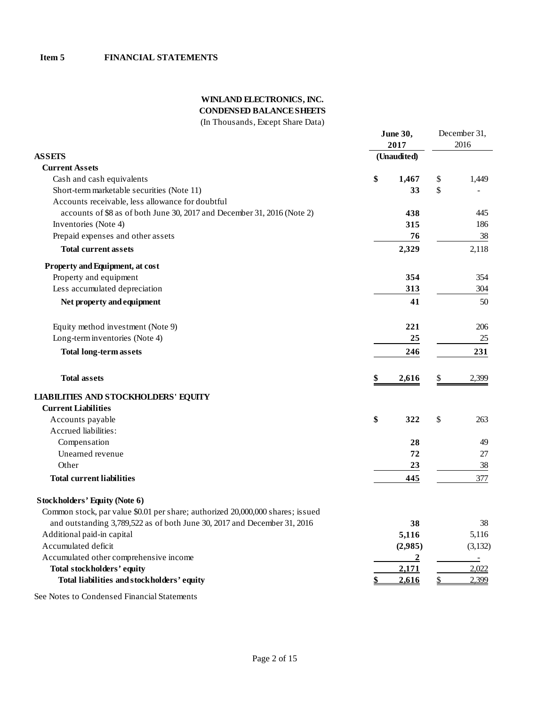# **WINLAND ELECTRONICS, INC. CONDENSED BALANCE SHEETS** (In Thousands, Except Share Data)

|                                                                                |    | <b>June 30,</b> | December 31, |          |  |
|--------------------------------------------------------------------------------|----|-----------------|--------------|----------|--|
|                                                                                |    | 2017            |              | 2016     |  |
| ASSETS                                                                         |    | (Unaudited)     |              |          |  |
| <b>Current Assets</b>                                                          |    |                 |              |          |  |
| Cash and cash equivalents                                                      | \$ | 1,467           | \$           | 1,449    |  |
| Short-term marketable securities (Note 11)                                     |    | 33              | \$           |          |  |
| Accounts receivable, less allowance for doubtful                               |    |                 |              |          |  |
| accounts of \$8 as of both June 30, 2017 and December 31, 2016 (Note 2)        |    | 438             |              | 445      |  |
| Inventories (Note 4)                                                           |    | 315             |              | 186      |  |
| Prepaid expenses and other assets                                              |    | 76              |              | 38       |  |
| <b>Total current assets</b>                                                    |    | 2,329           |              | 2,118    |  |
| Property and Equipment, at cost                                                |    |                 |              |          |  |
| Property and equipment                                                         |    | 354             |              | 354      |  |
| Less accumulated depreciation                                                  |    | 313             |              | 304      |  |
| Net property and equipment                                                     |    | 41              |              | 50       |  |
| Equity method investment (Note 9)                                              |    | 221             |              | 206      |  |
| Long-term inventories (Note 4)                                                 |    | 25              |              | 25       |  |
| <b>Total long-term assets</b>                                                  |    | 246             |              | 231      |  |
|                                                                                |    |                 |              |          |  |
| <b>Total assets</b>                                                            | \$ | 2,616           | \$           | 2,399    |  |
| <b>LIABILITIES AND STOCKHOLDERS' EQUITY</b>                                    |    |                 |              |          |  |
| <b>Current Liabilities</b>                                                     |    |                 |              |          |  |
| Accounts payable                                                               | \$ | 322             | \$           | 263      |  |
| Accrued liabilities:                                                           |    |                 |              |          |  |
| Compensation                                                                   |    | 28              |              | 49       |  |
| Unearned revenue                                                               |    | 72              |              | 27       |  |
| Other                                                                          |    | 23              |              | 38       |  |
| <b>Total current liabilities</b>                                               |    | 445             |              | 377      |  |
| <b>Stockholders' Equity (Note 6)</b>                                           |    |                 |              |          |  |
| Common stock, par value \$0.01 per share; authorized 20,000,000 shares; issued |    |                 |              |          |  |
| and outstanding 3,789,522 as of both June 30, 2017 and December 31, 2016       |    | 38              |              | 38       |  |
| Additional paid-in capital                                                     |    | 5,116           |              | 5,116    |  |
| Accumulated deficit                                                            |    | (2,985)         |              | (3, 132) |  |
| Accumulated other comprehensive income                                         |    | 2               |              |          |  |
| Total stockholders' equity                                                     |    | 2,171           |              | 2,022    |  |
| Total liabilities and stockholders' equity                                     |    | 2,616           |              | 2.399    |  |
|                                                                                |    |                 |              |          |  |

See Notes to Condensed Financial Statements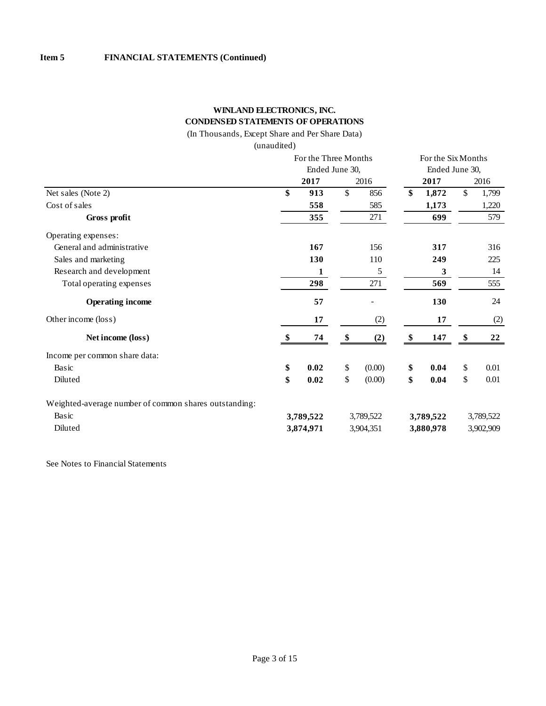# **WINLAND ELECTRONICS, INC. CONDENSED STATEMENTS OF OPERATIONS**

(In Thousands, Except Share and Per Share Data)

(unaudited)

|                                                       |                | For the Three Months |    |           | For the Six Months |           |    |           |
|-------------------------------------------------------|----------------|----------------------|----|-----------|--------------------|-----------|----|-----------|
|                                                       | Ended June 30, |                      |    |           | Ended June 30,     |           |    |           |
|                                                       |                | 2017                 |    | 2016      |                    | 2017      |    | 2016      |
| Net sales (Note 2)                                    | \$             | 913                  | \$ | 856       | \$                 | 1,872     | \$ | 1,799     |
| Cost of sales                                         |                | 558                  |    | 585       |                    | 1,173     |    | 1,220     |
| Gross profit                                          |                | 355                  |    | 271       |                    | 699       |    | 579       |
| Operating expenses:                                   |                |                      |    |           |                    |           |    |           |
| General and administrative                            |                | 167                  |    | 156       |                    | 317       |    | 316       |
| Sales and marketing                                   |                | 130                  |    | 110       |                    | 249       |    | 225       |
| Research and development                              |                | 1                    |    | 5         |                    | 3         |    | 14        |
| Total operating expenses                              |                | 298                  |    | 271       |                    | 569       |    | 555       |
| <b>Operating income</b>                               |                | 57                   |    |           |                    | 130       |    | 24        |
| Other income (loss)                                   |                | 17                   |    | (2)       |                    | 17        |    | (2)       |
| Net income (loss)                                     |                | 74                   | \$ | (2)       | S                  | 147       | \$ | 22        |
| Income per common share data:                         |                |                      |    |           |                    |           |    |           |
| Basic                                                 | \$             | 0.02                 | \$ | (0.00)    | \$                 | 0.04      | \$ | 0.01      |
| Diluted                                               | \$             | 0.02                 | \$ | (0.00)    | \$                 | 0.04      | \$ | 0.01      |
| Weighted-average number of common shares outstanding: |                |                      |    |           |                    |           |    |           |
| Basic                                                 |                | 3,789,522            |    | 3,789,522 |                    | 3,789,522 |    | 3,789,522 |
| Diluted                                               |                | 3,874,971            |    | 3,904,351 |                    | 3,880,978 |    | 3,902,909 |

See Notes to Financial Statements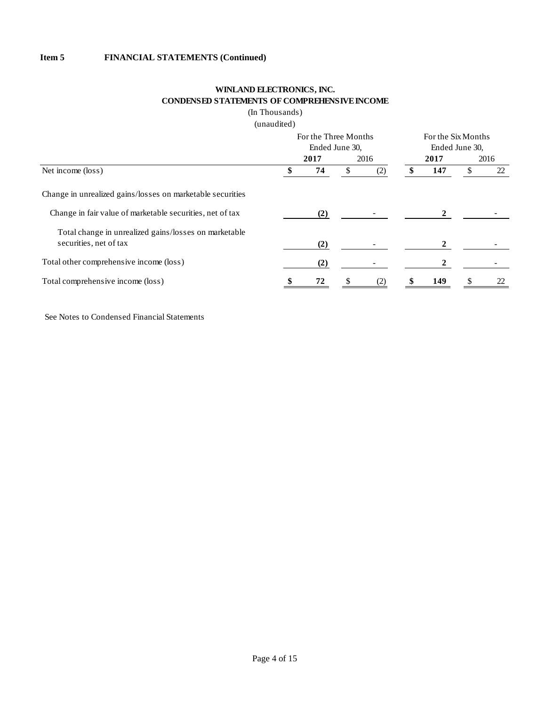# **WINLAND ELECTRONICS, INC. CONDENSED STATEMENTS OF COMPREHENSIVE INCOME**

(In Thousands)

(unaudited)

|                                                            | For the Three Months |                |     |      | For the Six Months |      |    |      |  |
|------------------------------------------------------------|----------------------|----------------|-----|------|--------------------|------|----|------|--|
|                                                            |                      | Ended June 30, |     |      | Ended June 30,     |      |    |      |  |
|                                                            |                      | 2017           |     | 2016 |                    | 2017 |    | 2016 |  |
| Net income (loss)                                          |                      | 74             |     | (2)  |                    | 147  | \$ | 22   |  |
| Change in unrealized gains/losses on marketable securities |                      |                |     |      |                    |      |    |      |  |
| Change in fair value of marketable securities, net of tax  |                      | (2)            |     |      |                    |      |    |      |  |
| Total change in unrealized gains/losses on marketable      |                      |                |     |      |                    |      |    |      |  |
| securities, net of tax                                     |                      | (2)            |     |      |                    |      |    |      |  |
| Total other comprehensive income (loss)                    |                      | (2)            |     |      |                    |      |    |      |  |
| Total comprehensive income (loss)                          |                      | 72             | \$. | (2)  |                    | 149  | \$ | 22   |  |

See Notes to Condensed Financial Statements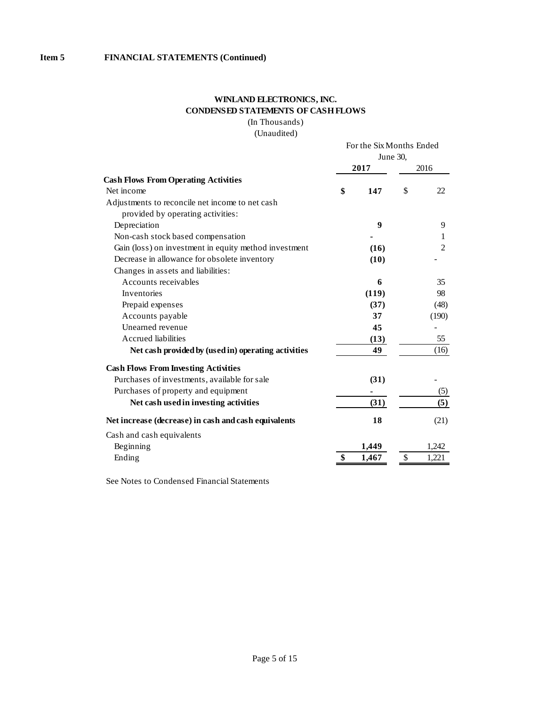# **WINLAND ELECTRONICS, INC. CONDENSED STATEMENTS OF CASH FLOWS**

(In Thousands) (Unaudited)

|                                                       | For the Six Months Ended<br>June 30, |             |
|-------------------------------------------------------|--------------------------------------|-------------|
|                                                       | 2017                                 | 2016        |
| <b>Cash Flows From Operating Activities</b>           |                                      |             |
| Net income                                            | \$<br>147                            | \$<br>22    |
| Adjustments to reconcile net income to net cash       |                                      |             |
| provided by operating activities:                     |                                      |             |
| Depreciation                                          | 9                                    | 9           |
| Non-cash stock based compensation                     |                                      | 1           |
| Gain (loss) on investment in equity method investment | (16)                                 | 2           |
| Decrease in allowance for obsolete inventory          | (10)                                 |             |
| Changes in assets and liabilities:                    |                                      |             |
| Accounts receivables                                  | 6                                    | 35          |
| Inventories                                           | (119)                                | 98          |
| Prepaid expenses                                      | (37)                                 | (48)        |
| Accounts payable                                      | 37                                   | (190)       |
| Unearned revenue                                      | 45                                   |             |
| <b>Accrued liabilities</b>                            | (13)                                 | 55          |
| Net cash provided by (used in) operating activities   | 49                                   | (16)        |
| <b>Cash Flows From Investing Activities</b>           |                                      |             |
| Purchases of investments, available for sale          | (31)                                 |             |
| Purchases of property and equipment                   |                                      | (5)         |
| Net cash used in investing activities                 | (31)                                 | (5)         |
| Net increase (decrease) in cash and cash equivalents  | 18                                   | (21)        |
| Cash and cash equivalents                             |                                      |             |
| Beginning                                             | 1,449                                | 1,242       |
| Ending                                                | \$<br>1,467                          | \$<br>1,221 |

See Notes to Condensed Financial Statements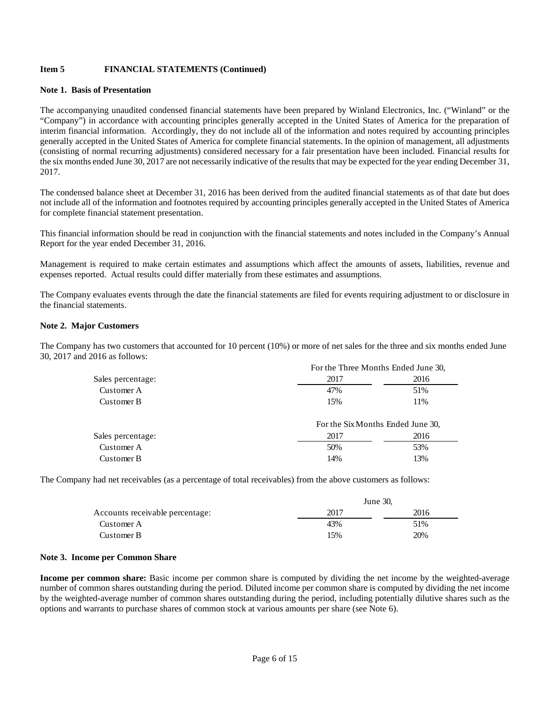#### **Note 1. Basis of Presentation**

The accompanying unaudited condensed financial statements have been prepared by Winland Electronics, Inc. ("Winland" or the "Company") in accordance with accounting principles generally accepted in the United States of America for the preparation of interim financial information. Accordingly, they do not include all of the information and notes required by accounting principles generally accepted in the United States of America for complete financial statements. In the opinion of management, all adjustments (consisting of normal recurring adjustments) considered necessary for a fair presentation have been included. Financial results for the six months ended June 30, 2017 are not necessarily indicative of the results that may be expected for the year ending December 31, 2017.

The condensed balance sheet at December 31, 2016 has been derived from the audited financial statements as of that date but does not include all of the information and footnotes required by accounting principles generally accepted in the United States of America for complete financial statement presentation.

This financial information should be read in conjunction with the financial statements and notes included in the Company's Annual Report for the year ended December 31, 2016.

Management is required to make certain estimates and assumptions which affect the amounts of assets, liabilities, revenue and expenses reported. Actual results could differ materially from these estimates and assumptions.

The Company evaluates events through the date the financial statements are filed for events requiring adjustment to or disclosure in the financial statements.

#### **Note 2. Major Customers**

The Company has two customers that accounted for 10 percent (10%) or more of net sales for the three and six months ended June 30, 2017 and 2016 as follows:

|                   | For the Three Months Ended June 30, |                                   |  |  |
|-------------------|-------------------------------------|-----------------------------------|--|--|
| Sales percentage: | 2017                                | 2016                              |  |  |
| Customer A        | 47%                                 | 51%                               |  |  |
| Customer B        | 15%                                 | 11%                               |  |  |
|                   |                                     | For the Six Months Ended June 30, |  |  |
| Sales percentage: | 2017                                | 2016                              |  |  |
| Customer A        | 50%                                 | 53%                               |  |  |
| Customer B        | 14%                                 | 13%                               |  |  |

The Company had net receivables (as a percentage of total receivables) from the above customers as follows:

|                                 | June 30. |      |
|---------------------------------|----------|------|
| Accounts receivable percentage: | 2017     | 2016 |
| Customer A                      | 43%      | 51%  |
| Customer B                      | 15%      | 20%  |

#### **Note 3. Income per Common Share**

**Income per common share:** Basic income per common share is computed by dividing the net income by the weighted-average number of common shares outstanding during the period. Diluted income per common share is computed by dividing the net income by the weighted-average number of common shares outstanding during the period, including potentially dilutive shares such as the options and warrants to purchase shares of common stock at various amounts per share (see Note 6).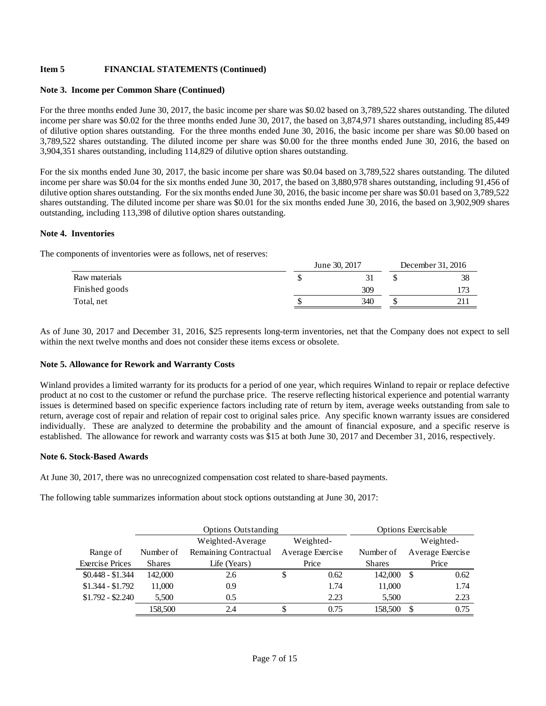#### **Note 3. Income per Common Share (Continued)**

For the three months ended June 30, 2017, the basic income per share was \$0.02 based on 3,789,522 shares outstanding. The diluted income per share was \$0.02 for the three months ended June 30, 2017, the based on 3,874,971 shares outstanding, including 85,449 of dilutive option shares outstanding. For the three months ended June 30, 2016, the basic income per share was \$0.00 based on 3,789,522 shares outstanding. The diluted income per share was \$0.00 for the three months ended June 30, 2016, the based on 3,904,351 shares outstanding, including 114,829 of dilutive option shares outstanding.

For the six months ended June 30, 2017, the basic income per share was \$0.04 based on 3,789,522 shares outstanding. The diluted income per share was \$0.04 for the six months ended June 30, 2017, the based on 3,880,978 shares outstanding, including 91,456 of dilutive option shares outstanding. For the six months ended June 30, 2016, the basic income per share was \$0.01 based on 3,789,522 shares outstanding. The diluted income per share was \$0.01 for the six months ended June 30, 2016, the based on 3,902,909 shares outstanding, including 113,398 of dilutive option shares outstanding.

#### **Note 4. Inventories**

The components of inventories were as follows, net of reserves:

|                | June 30, 2017 | December 31, 2016 |
|----------------|---------------|-------------------|
| Raw materials  |               | 38                |
| Finished goods | 309           |                   |
| Total, net     | 340           |                   |
|                |               |                   |

As of June 30, 2017 and December 31, 2016, \$25 represents long-term inventories, net that the Company does not expect to sell within the next twelve months and does not consider these items excess or obsolete.

### **Note 5. Allowance for Rework and Warranty Costs**

Winland provides a limited warranty for its products for a period of one year, which requires Winland to repair or replace defective product at no cost to the customer or refund the purchase price. The reserve reflecting historical experience and potential warranty issues is determined based on specific experience factors including rate of return by item, average weeks outstanding from sale to return, average cost of repair and relation of repair cost to original sales price. Any specific known warranty issues are considered individually. These are analyzed to determine the probability and the amount of financial exposure, and a specific reserve is established. The allowance for rework and warranty costs was \$15 at both June 30, 2017 and December 31, 2016, respectively.

### **Note 6. Stock-Based Awards**

At June 30, 2017, there was no unrecognized compensation cost related to share-based payments.

The following table summarizes information about stock options outstanding at June 30, 2017:

| <b>Options Outstanding</b> |               |                       |  |                  |               |    | Options Exercisable |
|----------------------------|---------------|-----------------------|--|------------------|---------------|----|---------------------|
|                            |               | Weighted-Average      |  | Weighted-        |               |    | Weighted-           |
| Range of                   | Number of     | Remaining Contractual |  | Average Exercise | Number of     |    | Average Exercise    |
| <b>Exercise Prices</b>     | <b>Shares</b> | Life (Years)          |  | Price            | <b>Shares</b> |    | Price               |
| $$0.448 - $1.344$          | 142,000       | 2.6                   |  | 0.62             | 142,000       | -8 | 0.62                |
| $$1.344 - $1.792$          | 11,000        | 0.9                   |  | 1.74             | 11,000        |    | 1.74                |
| $$1.792 - $2.240$          | 5,500         | 0.5                   |  | 2.23             | 5,500         |    | 2.23                |
|                            | 158,500       | 2.4                   |  | 0.75             | 158,500       |    | 0.75                |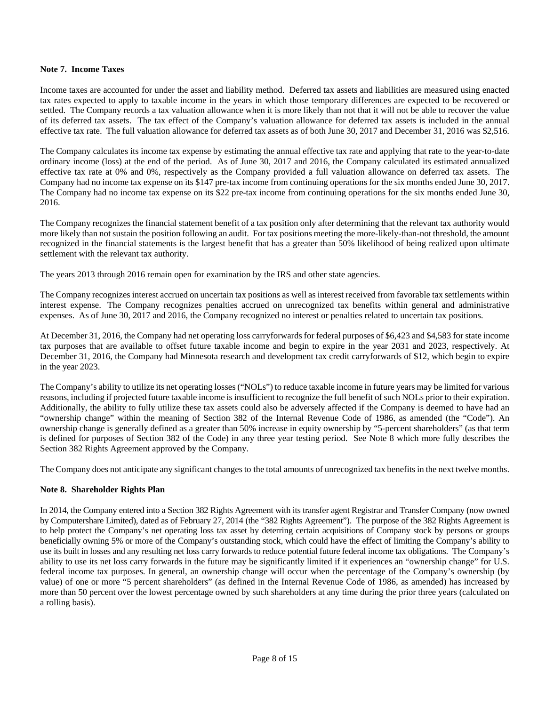#### **Note 7. Income Taxes**

Income taxes are accounted for under the asset and liability method. Deferred tax assets and liabilities are measured using enacted tax rates expected to apply to taxable income in the years in which those temporary differences are expected to be recovered or settled. The Company records a tax valuation allowance when it is more likely than not that it will not be able to recover the value of its deferred tax assets. The tax effect of the Company's valuation allowance for deferred tax assets is included in the annual effective tax rate. The full valuation allowance for deferred tax assets as of both June 30, 2017 and December 31, 2016 was \$2,516.

The Company calculates its income tax expense by estimating the annual effective tax rate and applying that rate to the year-to-date ordinary income (loss) at the end of the period. As of June 30, 2017 and 2016, the Company calculated its estimated annualized effective tax rate at 0% and 0%, respectively as the Company provided a full valuation allowance on deferred tax assets. The Company had no income tax expense on its \$147 pre-tax income from continuing operations for the six months ended June 30, 2017. The Company had no income tax expense on its \$22 pre-tax income from continuing operations for the six months ended June 30, 2016.

The Company recognizes the financial statement benefit of a tax position only after determining that the relevant tax authority would more likely than not sustain the position following an audit. For tax positions meeting the more-likely-than-not threshold, the amount recognized in the financial statements is the largest benefit that has a greater than 50% likelihood of being realized upon ultimate settlement with the relevant tax authority.

The years 2013 through 2016 remain open for examination by the IRS and other state agencies.

The Company recognizes interest accrued on uncertain tax positions as well as interest received from favorable tax settlements within interest expense. The Company recognizes penalties accrued on unrecognized tax benefits within general and administrative expenses. As of June 30, 2017 and 2016, the Company recognized no interest or penalties related to uncertain tax positions.

At December 31, 2016, the Company had net operating loss carryforwards for federal purposes of \$6,423 and \$4,583 for state income tax purposes that are available to offset future taxable income and begin to expire in the year 2031 and 2023, respectively. At December 31, 2016, the Company had Minnesota research and development tax credit carryforwards of \$12, which begin to expire in the year 2023.

The Company's ability to utilize its net operating losses ("NOLs") to reduce taxable income in future years may be limited for various reasons, including if projected future taxable income is insufficient to recognize the full benefit of such NOLs prior to their expiration. Additionally, the ability to fully utilize these tax assets could also be adversely affected if the Company is deemed to have had an "ownership change" within the meaning of Section 382 of the Internal Revenue Code of 1986, as amended (the "Code"). An ownership change is generally defined as a greater than 50% increase in equity ownership by "5-percent shareholders" (as that term is defined for purposes of Section 382 of the Code) in any three year testing period. See Note 8 which more fully describes the Section 382 Rights Agreement approved by the Company.

The Company does not anticipate any significant changes to the total amounts of unrecognized tax benefits in the next twelve months.

### **Note 8. Shareholder Rights Plan**

In 2014, the Company entered into a Section 382 Rights Agreement with its transfer agent Registrar and Transfer Company (now owned by Computershare Limited), dated as of February 27, 2014 (the "382 Rights Agreement"). The purpose of the 382 Rights Agreement is to help protect the Company's net operating loss tax asset by deterring certain acquisitions of Company stock by persons or groups beneficially owning 5% or more of the Company's outstanding stock, which could have the effect of limiting the Company's ability to use its built in losses and any resulting net loss carry forwards to reduce potential future federal income tax obligations. The Company's ability to use its net loss carry forwards in the future may be significantly limited if it experiences an "ownership change" for U.S. federal income tax purposes. In general, an ownership change will occur when the percentage of the Company's ownership (by value) of one or more "5 percent shareholders" (as defined in the Internal Revenue Code of 1986, as amended) has increased by more than 50 percent over the lowest percentage owned by such shareholders at any time during the prior three years (calculated on a rolling basis).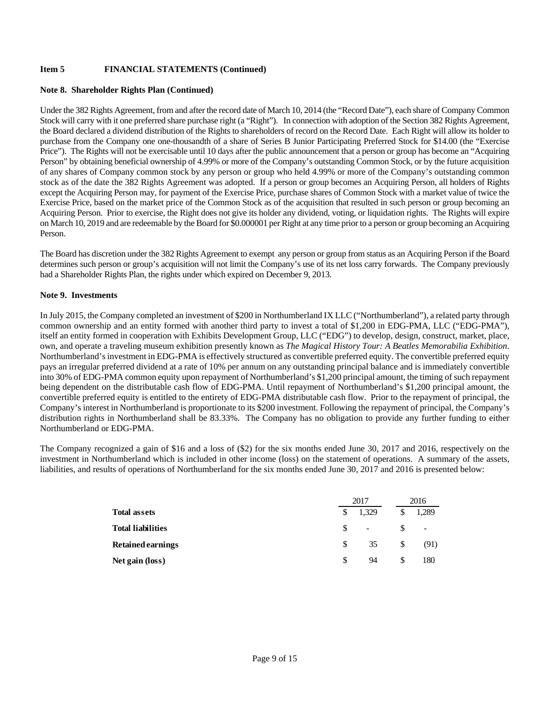#### **Note 8. Shareholder Rights Plan (Continued)**

Under the 382 Rights Agreement, from and after the record date of March 10, 2014 (the "Record Date"), each share of Company Common Stock will carry with it one preferred share purchase right (a "Right"). In connection with adoption of the Section 382 Rights Agreement, the Board declared a dividend distribution of the Rights to shareholders of record on the Record Date. Each Right will allow its holder to purchase from the Company one one-thousandth of a share of Series B Junior Participating Preferred Stock for \$14.00 (the "Exercise Price"). The Rights will not be exercisable until 10 days after the public announcement that a person or group has become an "Acquiring Person" by obtaining beneficial ownership of 4.99% or more of the Company's outstanding Common Stock, or by the future acquisition of any shares of Company common stock by any person or group who held 4.99% or more of the Company's outstanding common stock as of the date the 382 Rights Agreement was adopted. If a person or group becomes an Acquiring Person, all holders of Rights except the Acquiring Person may, for payment of the Exercise Price, purchase shares of Common Stock with a market value of twice the Exercise Price, based on the market price of the Common Stock as of the acquisition that resulted in such person or group becoming an Acquiring Person. Prior to exercise, the Right does not give its holder any dividend, voting, or liquidation rights. The Rights will expire on March 10, 2019 and are redeemable by the Board for \$0.000001 per Right at any time prior to a person or group becoming an Acquiring Person.

The Board has discretion under the 382 Rights Agreement to exempt any person or group from status as an Acquiring Person if the Board determines such person or group's acquisition will not limit the Company's use of its net loss carry forwards. The Company previously had a Shareholder Rights Plan, the rights under which expired on December 9, 2013.

#### **Note 9. Investments**

In July 2015, the Company completed an investment of \$200 in Northumberland IX LLC ("Northumberland"), a related party through common ownership and an entity formed with another third party to invest a total of \$1,200 in EDG-PMA, LLC ("EDG-PMA"), itself an entity formed in cooperation with Exhibits Development Group, LLC ("EDG") to develop, design, construct, market, place, own, and operate a traveling museum exhibition presently known as *The Magical History Tour: A Beatles Memorabilia Exhibition*. Northumberland's investment in EDG-PMA is effectively structured as convertible preferred equity. The convertible preferred equity pays an irregular preferred dividend at a rate of 10% per annum on any outstanding principal balance and is immediately convertible into 30% of EDG-PMA common equity upon repayment of Northumberland's \$1,200 principal amount, the timing of such repayment being dependent on the distributable cash flow of EDG-PMA. Until repayment of Northumberland's \$1,200 principal amount, the convertible preferred equity is entitled to the entirety of EDG-PMA distributable cash flow. Prior to the repayment of principal, the Company's interest in Northumberland is proportionate to its \$200 investment. Following the repayment of principal, the Company's distribution rights in Northumberland shall be 83.33%. The Company has no obligation to provide any further funding to either Northumberland or EDG-PMA.

The Company recognized a gain of \$16 and a loss of (\$2) for the six months ended June 30, 2017 and 2016, respectively on the investment in Northumberland which is included in other income (loss) on the statement of operations. A summary of the assets, liabilities, and results of operations of Northumberland for the six months ended June 30, 2017 and 2016 is presented below:

|                          |     | 2017                     | 2016 |       |  |
|--------------------------|-----|--------------------------|------|-------|--|
| <b>Total assets</b>      |     | 1.329                    | \$   | 1,289 |  |
| <b>Total liabilities</b> | -S  | $\overline{\phantom{a}}$ |      | -     |  |
| <b>Retained earnings</b> | \$. | 35                       | S    | (91)  |  |
| Net gain (loss)          | \$. | 94                       |      | 180   |  |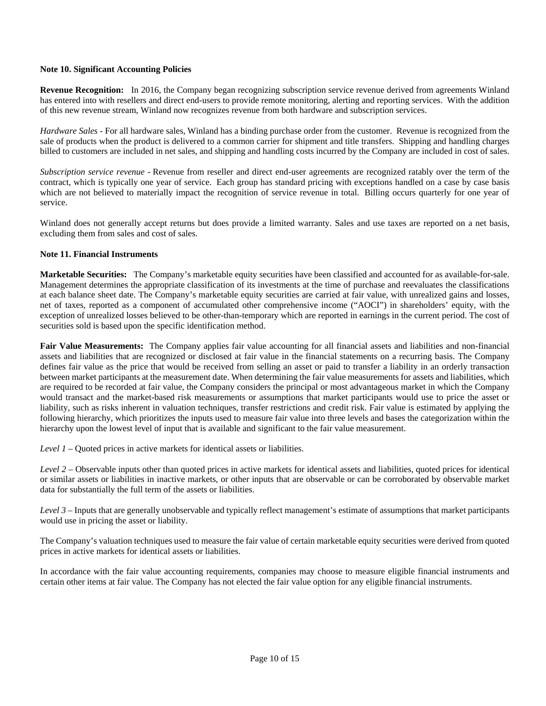## **Note 10. Significant Accounting Policies**

**Revenue Recognition:** In 2016, the Company began recognizing subscription service revenue derived from agreements Winland has entered into with resellers and direct end-users to provide remote monitoring, alerting and reporting services. With the addition of this new revenue stream, Winland now recognizes revenue from both hardware and subscription services.

*Hardware Sales -* For all hardware sales, Winland has a binding purchase order from the customer. Revenue is recognized from the sale of products when the product is delivered to a common carrier for shipment and title transfers. Shipping and handling charges billed to customers are included in net sales, and shipping and handling costs incurred by the Company are included in cost of sales.

*Subscription service revenue -* Revenue from reseller and direct end-user agreements are recognized ratably over the term of the contract, which is typically one year of service. Each group has standard pricing with exceptions handled on a case by case basis which are not believed to materially impact the recognition of service revenue in total. Billing occurs quarterly for one year of service.

Winland does not generally accept returns but does provide a limited warranty. Sales and use taxes are reported on a net basis, excluding them from sales and cost of sales.

### **Note 11. Financial Instruments**

**Marketable Securities:** The Company's marketable equity securities have been classified and accounted for as available-for-sale. Management determines the appropriate classification of its investments at the time of purchase and reevaluates the classifications at each balance sheet date. The Company's marketable equity securities are carried at fair value, with unrealized gains and losses, net of taxes, reported as a component of accumulated other comprehensive income ("AOCI") in shareholders' equity, with the exception of unrealized losses believed to be other-than-temporary which are reported in earnings in the current period. The cost of securities sold is based upon the specific identification method.

**Fair Value Measurements:** The Company applies fair value accounting for all financial assets and liabilities and non-financial assets and liabilities that are recognized or disclosed at fair value in the financial statements on a recurring basis. The Company defines fair value as the price that would be received from selling an asset or paid to transfer a liability in an orderly transaction between market participants at the measurement date. When determining the fair value measurements for assets and liabilities, which are required to be recorded at fair value, the Company considers the principal or most advantageous market in which the Company would transact and the market-based risk measurements or assumptions that market participants would use to price the asset or liability, such as risks inherent in valuation techniques, transfer restrictions and credit risk. Fair value is estimated by applying the following hierarchy, which prioritizes the inputs used to measure fair value into three levels and bases the categorization within the hierarchy upon the lowest level of input that is available and significant to the fair value measurement.

*Level 1* – Quoted prices in active markets for identical assets or liabilities.

*Level 2* – Observable inputs other than quoted prices in active markets for identical assets and liabilities, quoted prices for identical or similar assets or liabilities in inactive markets, or other inputs that are observable or can be corroborated by observable market data for substantially the full term of the assets or liabilities.

*Level 3* – Inputs that are generally unobservable and typically reflect management's estimate of assumptions that market participants would use in pricing the asset or liability.

The Company's valuation techniques used to measure the fair value of certain marketable equity securities were derived from quoted prices in active markets for identical assets or liabilities.

In accordance with the fair value accounting requirements, companies may choose to measure eligible financial instruments and certain other items at fair value. The Company has not elected the fair value option for any eligible financial instruments.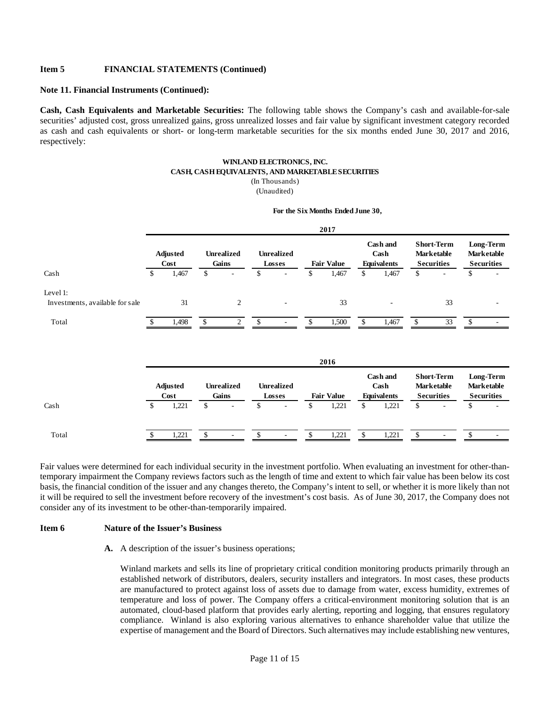#### **Note 11. Financial Instruments (Continued):**

**Cash, Cash Equivalents and Marketable Securities:** The following table shows the Company's cash and available-for-sale securities' adjusted cost, gross unrealized gains, gross unrealized losses and fair value by significant investment category recorded as cash and cash equivalents or short- or long-term marketable securities for the six months ended June 30, 2017 and 2016, respectively:

#### **WINLAND ELECTRONICS, INC. CASH, CASH EQUIVALENTS, AND MARKETABLE SECURITIES** (In Thousands)

(Unaudited)

#### **For the Six Months Ended June 30,**

|                                 |                         |                                |                                | 2017              |                                        |                                                             |                                              |
|---------------------------------|-------------------------|--------------------------------|--------------------------------|-------------------|----------------------------------------|-------------------------------------------------------------|----------------------------------------------|
|                                 | <b>Adjusted</b><br>Cost | <b>Unrealized</b><br>Gains     | <b>Unrealized</b><br>Losses    | <b>Fair Value</b> | Cash and<br>Cash<br><b>Equivalents</b> | <b>Short-Term</b><br><b>Marketable</b><br><b>Securities</b> | Long-Term<br>Marketable<br><b>Securities</b> |
| Cash                            | \$<br>1,467             | \$<br>$\omega$                 | \$<br>$\blacksquare$           | \$<br>1,467       | \$<br>1,467                            | \$<br>$\overline{\phantom{a}}$                              | \$                                           |
| Level 1:                        |                         |                                |                                |                   |                                        |                                                             |                                              |
| Investments, available for sale | 31                      | $\overline{2}$                 |                                | 33                |                                        | 33                                                          |                                              |
| Total                           | 1,498                   | \$<br>2                        | \$                             | 1,500             | \$<br>1,467                            | \$<br>33                                                    | \$                                           |
|                                 |                         |                                |                                |                   |                                        |                                                             |                                              |
|                                 |                         |                                |                                | 2016              |                                        |                                                             |                                              |
|                                 | <b>Adjusted</b><br>Cost | <b>Unrealized</b><br>Gains     | <b>Unrealized</b><br>Losses    | <b>Fair Value</b> | Cash and<br>Cash<br><b>Equivalents</b> | <b>Short-Term</b><br><b>Marketable</b><br><b>Securities</b> | Long-Term<br>Marketable<br><b>Securities</b> |
| Cash                            | \$<br>1,221             | \$<br>$\overline{\phantom{a}}$ | \$                             | \$<br>1,221       | \$<br>1,221                            | \$<br>٠                                                     | \$                                           |
|                                 |                         |                                |                                |                   |                                        |                                                             |                                              |
| Total                           | \$<br>1,221             | \$<br>٠                        | \$<br>$\overline{\phantom{a}}$ | \$<br>1,221       | \$<br>1,221                            | \$                                                          | \$                                           |

Fair values were determined for each individual security in the investment portfolio. When evaluating an investment for other-thantemporary impairment the Company reviews factors such as the length of time and extent to which fair value has been below its cost basis, the financial condition of the issuer and any changes thereto, the Company's intent to sell, or whether it is more likely than not it will be required to sell the investment before recovery of the investment's cost basis. As of June 30, 2017, the Company does not consider any of its investment to be other-than-temporarily impaired.

#### **Item 6 Nature of the Issuer's Business**

**A.** A description of the issuer's business operations;

Winland markets and sells its line of proprietary critical condition monitoring products primarily through an established network of distributors, dealers, security installers and integrators. In most cases, these products are manufactured to protect against loss of assets due to damage from water, excess humidity, extremes of temperature and loss of power. The Company offers a critical-environment monitoring solution that is an automated, cloud-based platform that provides early alerting, reporting and logging, that ensures regulatory compliance. Winland is also exploring various alternatives to enhance shareholder value that utilize the expertise of management and the Board of Directors. Such alternatives may include establishing new ventures,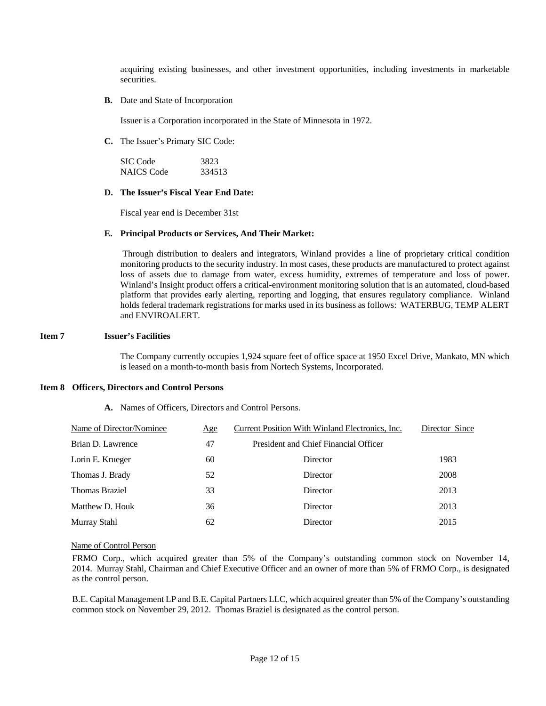acquiring existing businesses, and other investment opportunities, including investments in marketable securities.

**B.** Date and State of Incorporation

Issuer is a Corporation incorporated in the State of Minnesota in 1972.

**C.** The Issuer's Primary SIC Code:

SIC Code 3823 NAICS Code 334513

#### **D. The Issuer's Fiscal Year End Date:**

Fiscal year end is December 31st

#### **E. Principal Products or Services, And Their Market:**

 Through distribution to dealers and integrators, Winland provides a line of proprietary critical condition monitoring products to the security industry. In most cases, these products are manufactured to protect against loss of assets due to damage from water, excess humidity, extremes of temperature and loss of power. Winland's Insight product offers a critical-environment monitoring solution that is an automated, cloud-based platform that provides early alerting, reporting and logging, that ensures regulatory compliance. Winland holds federal trademark registrations for marks used in its business as follows: WATERBUG, TEMP ALERT and ENVIROALERT.

#### **Item 7 Issuer's Facilities**

The Company currently occupies 1,924 square feet of office space at 1950 Excel Drive, Mankato, MN which is leased on a month-to-month basis from Nortech Systems, Incorporated.

#### **Item 8 Officers, Directors and Control Persons**

**A.** Names of Officers, Directors and Control Persons.

| Name of Director/Nominee | Age | <b>Current Position With Winland Electronics, Inc.</b> | Director Since |  |
|--------------------------|-----|--------------------------------------------------------|----------------|--|
| Brian D. Lawrence        | 47  | President and Chief Financial Officer                  |                |  |
| Lorin E. Krueger         | 60  | Director                                               | 1983           |  |
| Thomas J. Brady          | 52  | Director                                               | 2008           |  |
| Thomas Braziel           | 33  | Director                                               | 2013           |  |
| Matthew D. Houk          | 36  | Director                                               | 2013           |  |
| Murray Stahl             | 62  | Director                                               | 2015           |  |

#### Name of Control Person

FRMO Corp., which acquired greater than 5% of the Company's outstanding common stock on November 14, 2014. Murray Stahl, Chairman and Chief Executive Officer and an owner of more than 5% of FRMO Corp., is designated as the control person.

B.E. Capital Management LP and B.E. Capital Partners LLC, which acquired greater than 5% of the Company's outstanding common stock on November 29, 2012. Thomas Braziel is designated as the control person.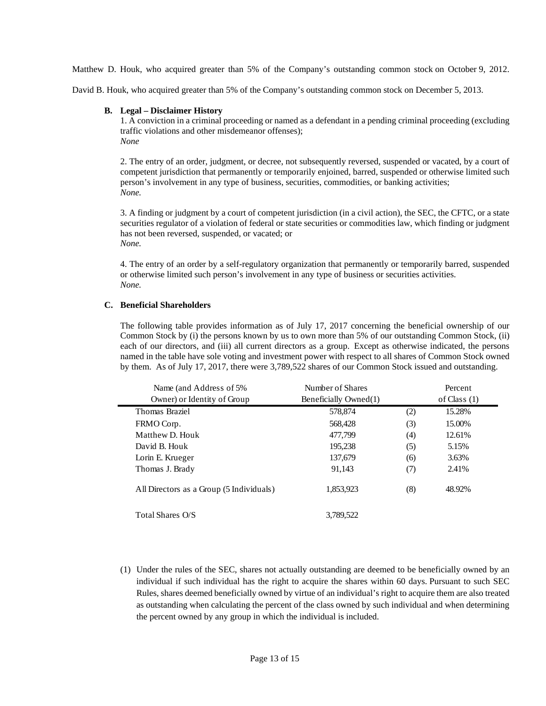Matthew D. Houk, who acquired greater than 5% of the Company's outstanding common stock on October 9, 2012.

David B. Houk, who acquired greater than 5% of the Company's outstanding common stock on December 5, 2013.

#### **B. Legal – Disclaimer History**

1. A conviction in a criminal proceeding or named as a defendant in a pending criminal proceeding (excluding traffic violations and other misdemeanor offenses); *None* 

2. The entry of an order, judgment, or decree, not subsequently reversed, suspended or vacated, by a court of competent jurisdiction that permanently or temporarily enjoined, barred, suspended or otherwise limited such person's involvement in any type of business, securities, commodities, or banking activities; *None.* 

3. A finding or judgment by a court of competent jurisdiction (in a civil action), the SEC, the CFTC, or a state securities regulator of a violation of federal or state securities or commodities law, which finding or judgment has not been reversed, suspended, or vacated; or *None.* 

4. The entry of an order by a self-regulatory organization that permanently or temporarily barred, suspended or otherwise limited such person's involvement in any type of business or securities activities. *None.* 

#### **C. Beneficial Shareholders**

The following table provides information as of July 17, 2017 concerning the beneficial ownership of our Common Stock by (i) the persons known by us to own more than 5% of our outstanding Common Stock, (ii) each of our directors, and (iii) all current directors as a group. Except as otherwise indicated, the persons named in the table have sole voting and investment power with respect to all shares of Common Stock owned by them. As of July 17, 2017, there were 3,789,522 shares of our Common Stock issued and outstanding.

| Name (and Address of 5%)                 | Number of Shares      |     | Percent        |  |  |  |
|------------------------------------------|-----------------------|-----|----------------|--|--|--|
| Owner) or Identity of Group              | Beneficially Owned(1) |     | of Class $(1)$ |  |  |  |
| Thomas Braziel                           | 578,874               | (2) | 15.28%         |  |  |  |
| FRMO Corp.                               | 568,428               | (3) | 15.00%         |  |  |  |
| Matthew D. Houk                          | 477.799               | (4) | 12.61%         |  |  |  |
| David B. Houk                            | 195.238               | (5) | 5.15%          |  |  |  |
| Lorin E. Krueger                         | 137,679               | (6) | 3.63%          |  |  |  |
| Thomas J. Brady                          | 91.143                | (7) | 2.41%          |  |  |  |
| All Directors as a Group (5 Individuals) | 1,853,923             | (8) | 48.92%         |  |  |  |
| Total Shares O/S                         | 3,789,522             |     |                |  |  |  |

(1) Under the rules of the SEC, shares not actually outstanding are deemed to be beneficially owned by an individual if such individual has the right to acquire the shares within 60 days. Pursuant to such SEC Rules, shares deemed beneficially owned by virtue of an individual's right to acquire them are also treated as outstanding when calculating the percent of the class owned by such individual and when determining the percent owned by any group in which the individual is included.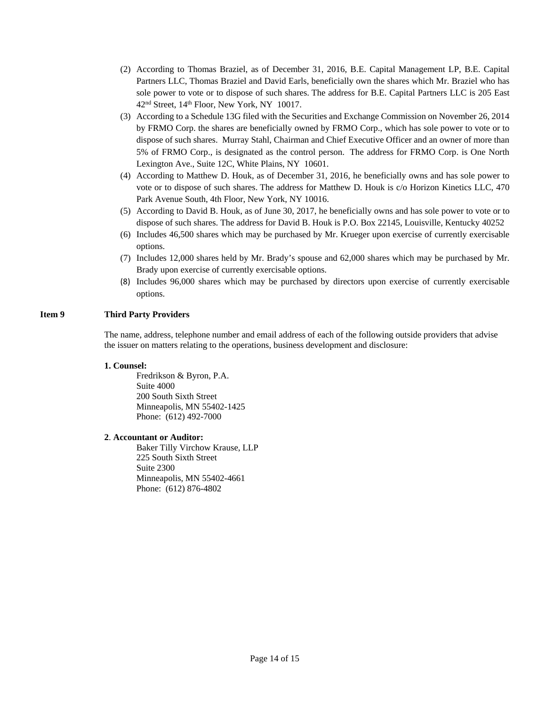- (2) According to Thomas Braziel, as of December 31, 2016, B.E. Capital Management LP, B.E. Capital Partners LLC, Thomas Braziel and David Earls, beneficially own the shares which Mr. Braziel who has sole power to vote or to dispose of such shares. The address for B.E. Capital Partners LLC is 205 East 42nd Street, 14th Floor, New York, NY 10017.
- (3) According to a Schedule 13G filed with the Securities and Exchange Commission on November 26, 2014 by FRMO Corp. the shares are beneficially owned by FRMO Corp., which has sole power to vote or to dispose of such shares. Murray Stahl, Chairman and Chief Executive Officer and an owner of more than 5% of FRMO Corp., is designated as the control person. The address for FRMO Corp. is One North Lexington Ave., Suite 12C, White Plains, NY 10601.
- (4) According to Matthew D. Houk, as of December 31, 2016, he beneficially owns and has sole power to vote or to dispose of such shares. The address for Matthew D. Houk is c/o Horizon Kinetics LLC, 470 Park Avenue South, 4th Floor, New York, NY 10016.
- (5) According to David B. Houk, as of June 30, 2017, he beneficially owns and has sole power to vote or to dispose of such shares. The address for David B. Houk is P.O. Box 22145, Louisville, Kentucky 40252
- (6) Includes 46,500 shares which may be purchased by Mr. Krueger upon exercise of currently exercisable options.
- (7) Includes 12,000 shares held by Mr. Brady's spouse and 62,000 shares which may be purchased by Mr. Brady upon exercise of currently exercisable options.
- (8) Includes 96,000 shares which may be purchased by directors upon exercise of currently exercisable options.

# **Item 9 Third Party Providers**

The name, address, telephone number and email address of each of the following outside providers that advise the issuer on matters relating to the operations, business development and disclosure:

### **1. Counsel:**

Fredrikson & Byron, P.A. Suite 4000 200 South Sixth Street Minneapolis, MN 55402-1425 Phone: (612) 492-7000

### **2**. **Accountant or Auditor:**

 Baker Tilly Virchow Krause, LLP 225 South Sixth Street Suite 2300 Minneapolis, MN 55402-4661 Phone: (612) 876-4802